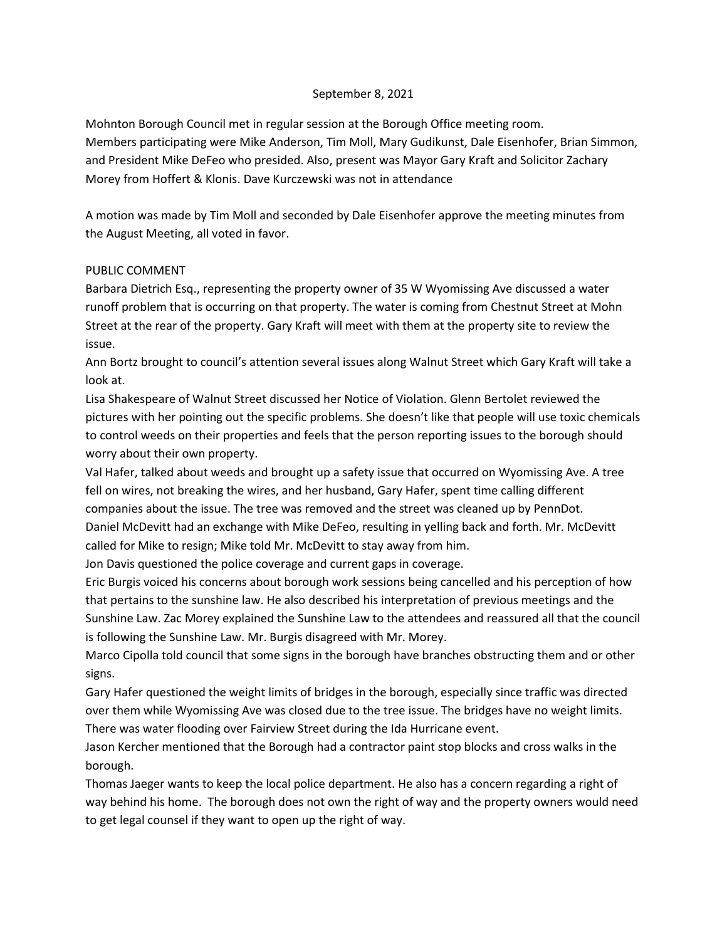## September 8, 2021

Mohnton Borough Council met in regular session at the Borough Office meeting room. Members participating were Mike Anderson, Tim Moll, Mary Gudikunst, Dale Eisenhofer, Brian Simmon, and President Mike DeFeo who presided. Also, present was Mayor Gary Kraft and Solicitor Zachary Morey from Hoffert & Klonis. Dave Kurczewski was not in attendance

A motion was made by Tim Moll and seconded by Dale Eisenhofer approve the meeting minutes from the August Meeting, all voted in favor.

## PUBLIC COMMENT

Barbara Dietrich Esq., representing the property owner of 35 W Wyomissing Ave discussed a water runoff problem that is occurring on that property. The water is coming from Chestnut Street at Mohn Street at the rear of the property. Gary Kraft will meet with them at the property site to review the issue.

Ann Bortz brought to council's attention several issues along Walnut Street which Gary Kraft will take a look at.

Lisa Shakespeare of Walnut Street discussed her Notice of Violation. Glenn Bertolet reviewed the pictures with her pointing out the specific problems. She doesn't like that people will use toxic chemicals to control weeds on their properties and feels that the person reporting issues to the borough should worry about their own property.

Val Hafer, talked about weeds and brought up a safety issue that occurred on Wyomissing Ave. A tree fell on wires, not breaking the wires, and her husband, Gary Hafer, spent time calling different companies about the issue. The tree was removed and the street was cleaned up by PennDot. Daniel McDevitt had an exchange with Mike DeFeo, resulting in yelling back and forth. Mr. McDevitt called for Mike to resign; Mike told Mr. McDevitt to stay away from him.

Jon Davis questioned the police coverage and current gaps in coverage.

Eric Burgis voiced his concerns about borough work sessions being cancelled and his perception of how that pertains to the sunshine law. He also described his interpretation of previous meetings and the Sunshine Law. Zac Morey explained the Sunshine Law to the attendees and reassured all that the council is following the Sunshine Law. Mr. Burgis disagreed with Mr. Morey.

Marco Cipolla told council that some signs in the borough have branches obstructing them and or other signs.

Gary Hafer questioned the weight limits of bridges in the borough, especially since traffic was directed over them while Wyomissing Ave was closed due to the tree issue. The bridges have no weight limits. There was water flooding over Fairview Street during the Ida Hurricane event.

Jason Kercher mentioned that the Borough had a contractor paint stop blocks and cross walks in the borough.

Thomas Jaeger wants to keep the local police department. He also has a concern regarding a right of way behind his home. The borough does not own the right of way and the property owners would need to get legal counsel if they want to open up the right of way.